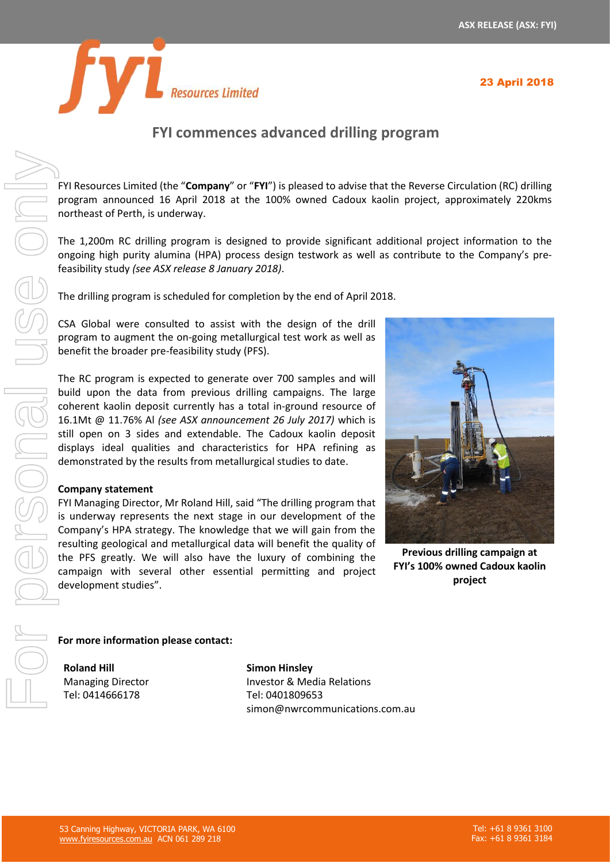



# **FYI commences advanced drilling program**

FYI Resources Limited (the "**Company**" or "**FYI**") is pleased to advise that the Reverse Circulation (RC) drilling program announced 16 April 2018 at the 100% owned Cadoux kaolin project, approximately 220kms northeast of Perth, is underway.

The 1,200m RC drilling program is designed to provide significant additional project information to the ongoing high purity alumina (HPA) process design testwork as well as contribute to the Company's prefeasibility study *(see ASX release 8 January 2018)*.

The drilling program is scheduled for completion by the end of April 2018.

CSA Global were consulted to assist with the design of the drill program to augment the on-going metallurgical test work as well as benefit the broader pre-feasibility study (PFS).

The RC program is expected to generate over 700 samples and will build upon the data from previous drilling campaigns. The large coherent kaolin deposit currently has a total in-ground resource of 16.1Mt @ 11.76% Al *(see ASX announcement 26 July 2017)* which is still open on 3 sides and extendable. The Cadoux kaolin deposit displays ideal qualities and characteristics for HPA refining as demonstrated by the results from metallurgical studies to date.

### **Company statement**

FYI Managing Director, Mr Roland Hill, said "The drilling program that is underway represents the next stage in our development of the Company's HPA strategy. The knowledge that we will gain from the resulting geological and metallurgical data will benefit the quality of the PFS greatly. We will also have the luxury of combining the campaign with several other essential permitting and project development studies".



**Previous drilling campaign at FYI's 100% owned Cadoux kaolin project**

### **For more information please contact:**

**Roland Hill** Managing Director Tel: 0414666178

**Simon Hinsley** Investor & Media Relations Tel: 0401809653 simon@nwrcommunications.com.au